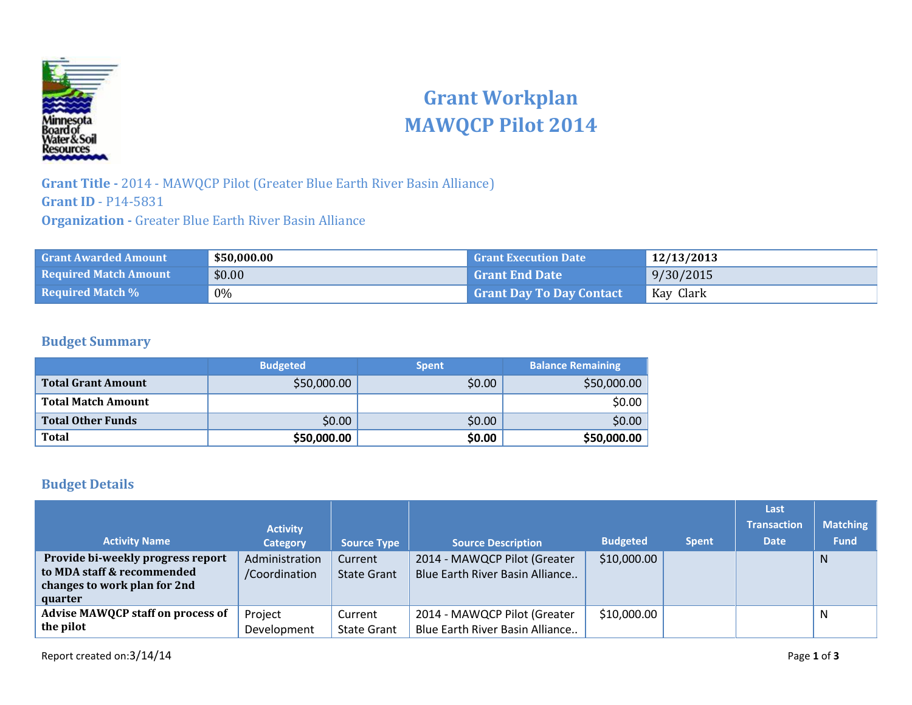

## **Grant Workplan MAWQCP Pilot 2014**

**Grant Title -** 2014 - MAWQCP Pilot (Greater Blue Earth River Basin Alliance) **Grant ID** - P14-5831 **Organization -** Greater Blue Earth River Basin Alliance

| <b>Grant Awarded Amount</b>  | \$50,000.00 | <b>Grant Execution Date</b>     | 12/13/2013 |
|------------------------------|-------------|---------------------------------|------------|
| <b>Required Match Amount</b> | \$0.00      | <b>Grant End Date</b>           | 9/30/2015  |
| <b>Required Match %</b>      | $0\%$       | <b>Grant Day To Day Contact</b> | Kay Clark  |

#### **Budget Summary**

|                           | <b>Budgeted</b> | <b>Spent</b> | <b>Balance Remaining</b> |
|---------------------------|-----------------|--------------|--------------------------|
| <b>Total Grant Amount</b> | \$50,000.00     | \$0.00       | \$50,000.00              |
| <b>Total Match Amount</b> |                 |              | \$0.00                   |
| <b>Total Other Funds</b>  | \$0.00          | \$0.00       | \$0.00                   |
| <b>Total</b>              | \$50,000.00     | \$0.00       | \$50,000.00              |

#### **Budget Details**

|                                                                                                            |                                 |                               |                                                                 |                 |              | Last               |                 |
|------------------------------------------------------------------------------------------------------------|---------------------------------|-------------------------------|-----------------------------------------------------------------|-----------------|--------------|--------------------|-----------------|
|                                                                                                            | <b>Activity</b>                 |                               |                                                                 |                 |              | <b>Transaction</b> | <b>Matching</b> |
| <b>Activity Name</b>                                                                                       | <b>Category</b>                 | <b>Source Type</b>            | <b>Source Description</b>                                       | <b>Budgeted</b> | <b>Spent</b> | <b>Date</b>        | <b>Fund</b>     |
| Provide bi-weekly progress report<br>to MDA staff & recommended<br>changes to work plan for 2nd<br>quarter | Administration<br>/Coordination | Current<br><b>State Grant</b> | 2014 - MAWQCP Pilot (Greater<br>Blue Earth River Basin Alliance | \$10,000.00     |              |                    | N               |
| <b>Advise MAWQCP staff on process of</b><br>the pilot                                                      | Project<br>Development          | Current<br><b>State Grant</b> | 2014 - MAWQCP Pilot (Greater<br>Blue Earth River Basin Alliance | \$10,000.00     |              |                    | N               |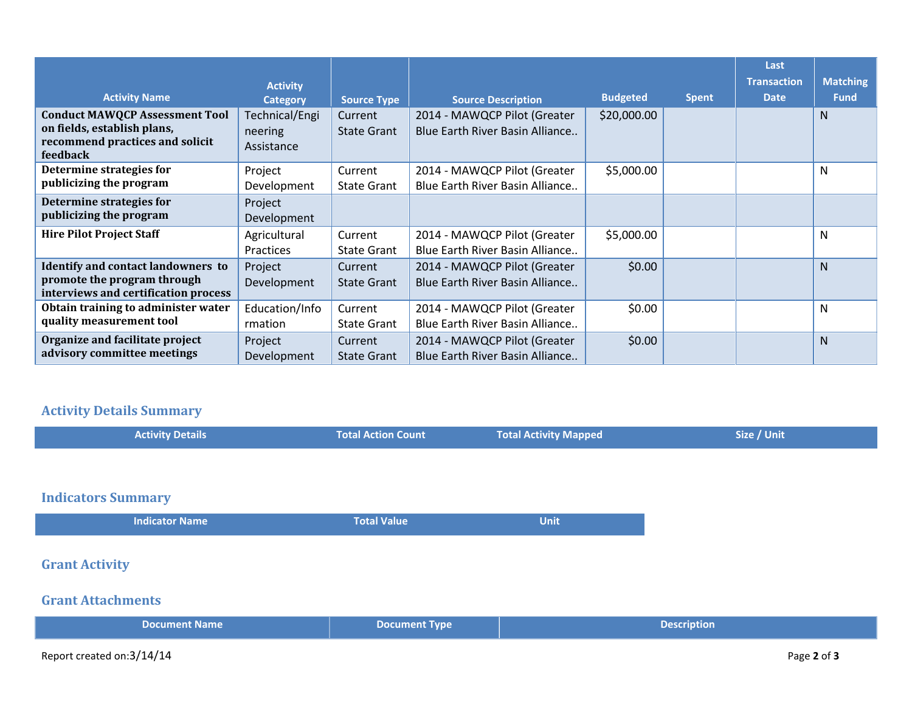|                                                                                                                     |                                         |                               |                                                                 |                 |              | Last               |                 |
|---------------------------------------------------------------------------------------------------------------------|-----------------------------------------|-------------------------------|-----------------------------------------------------------------|-----------------|--------------|--------------------|-----------------|
|                                                                                                                     | <b>Activity</b>                         |                               |                                                                 |                 |              | <b>Transaction</b> | <b>Matching</b> |
| <b>Activity Name</b>                                                                                                | <b>Category</b>                         | <b>Source Type</b>            | <b>Source Description</b>                                       | <b>Budgeted</b> | <b>Spent</b> | <b>Date</b>        | <b>Fund</b>     |
| <b>Conduct MAWQCP Assessment Tool</b><br>on fields, establish plans,<br>recommend practices and solicit<br>feedback | Technical/Engi<br>neering<br>Assistance | Current<br><b>State Grant</b> | 2014 - MAWQCP Pilot (Greater<br>Blue Earth River Basin Alliance | \$20,000.00     |              |                    | N               |
| Determine strategies for<br>publicizing the program                                                                 | Project<br>Development                  | Current<br><b>State Grant</b> | 2014 - MAWQCP Pilot (Greater<br>Blue Earth River Basin Alliance | \$5,000.00      |              |                    | N               |
| Determine strategies for<br>publicizing the program                                                                 | Project<br>Development                  |                               |                                                                 |                 |              |                    |                 |
| <b>Hire Pilot Project Staff</b>                                                                                     | Agricultural<br><b>Practices</b>        | Current<br><b>State Grant</b> | 2014 - MAWQCP Pilot (Greater<br>Blue Earth River Basin Alliance | \$5,000.00      |              |                    | N               |
| <b>Identify and contact landowners to</b><br>promote the program through<br>interviews and certification process    | Project<br>Development                  | Current<br>State Grant        | 2014 - MAWQCP Pilot (Greater<br>Blue Earth River Basin Alliance | \$0.00          |              |                    | <sub>N</sub>    |
| Obtain training to administer water<br>quality measurement tool                                                     | Education/Info<br>rmation               | Current<br><b>State Grant</b> | 2014 - MAWQCP Pilot (Greater<br>Blue Earth River Basin Alliance | \$0.00          |              |                    | N               |
| Organize and facilitate project<br>advisory committee meetings                                                      | Project<br>Development                  | Current<br><b>State Grant</b> | 2014 - MAWQCP Pilot (Greater<br>Blue Earth River Basin Alliance | \$0.00          |              |                    | <sub>N</sub>    |

### **Activity Details Summary**

| <b>Total Activity Mapped</b><br><b>Activity Details</b><br><b>Total Action Count</b> |
|--------------------------------------------------------------------------------------|
|                                                                                      |
|                                                                                      |
| <b>Indicators Summary</b>                                                            |
| <b>Total Value</b><br><b>Unit</b><br><b>Indicator Name</b>                           |
|                                                                                      |
| <b>Grant Activity</b>                                                                |
|                                                                                      |

# **Document Name and Document Type Document Type Description**